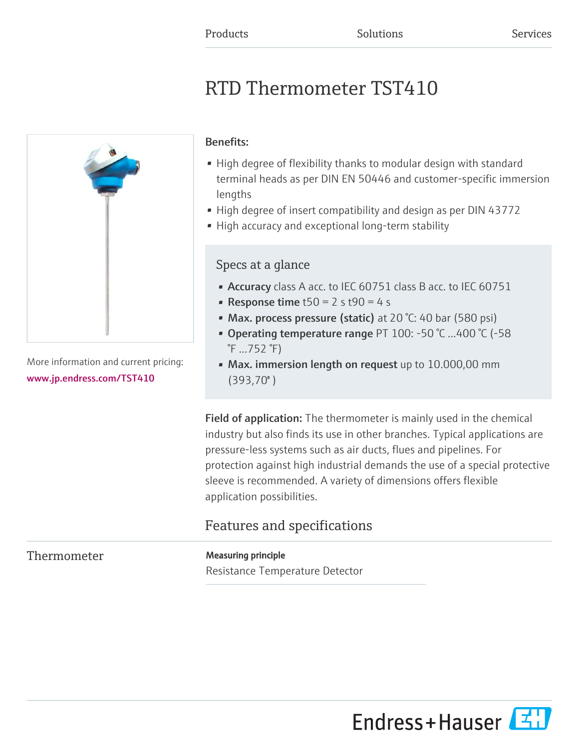# RTD Thermometer TST410



More information and current pricing: [www.jp.endress.com/TST410](https://www.jp.endress.com/TST410)

### Benefits:

- High degree of flexibility thanks to modular design with standard terminal heads as per DIN EN 50446 and customer-specific immersion lengths
- High degree of insert compatibility and design as per DIN 43772
- High accuracy and exceptional long-term stability

### Specs at a glance

- Accuracy class A acc. to IEC 60751 class B acc. to IEC 60751
- Response time  $t50 = 2 s t90 = 4 s$
- Max. process pressure (static) at 20 °C: 40 bar (580 psi)
- Operating temperature range PT 100: -50 °C ...400 °C (-58 °F ...752 °F)
- Max. immersion length on request up to 10.000,00 mm (393,70'' )

Field of application: The thermometer is mainly used in the chemical industry but also finds its use in other branches. Typical applications are pressure-less systems such as air ducts, flues and pipelines. For protection against high industrial demands the use of a special protective sleeve is recommended. A variety of dimensions offers flexible application possibilities.

## Features and specifications

### Thermometer Measuring principle

Resistance Temperature Detector

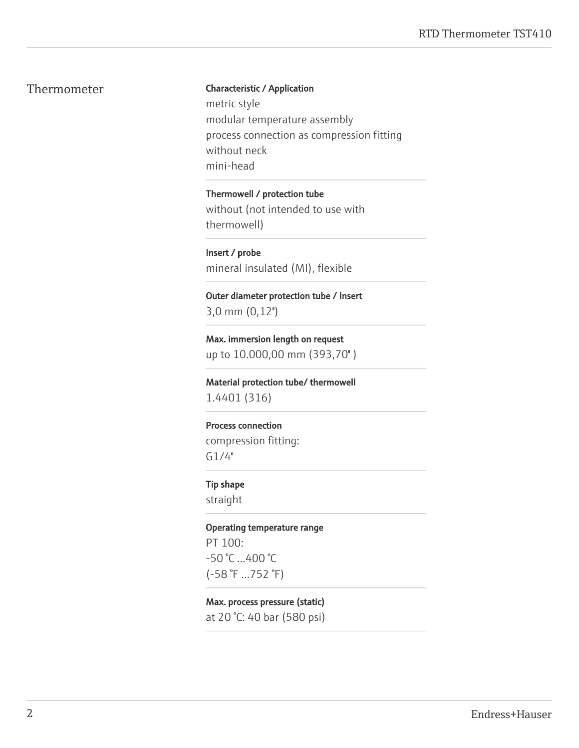#### Thermometer Characteristic / Application

metric style modular temperature assembly process connection as compression fitting without neck mini-head

Thermowell / protection tube without (not intended to use with thermowell)

Insert / probe mineral insulated (MI), flexible

Outer diameter protection tube / Insert 3,0 mm (0,12'')

Max. immersion length on request up to 10.000,00 mm (393,70'' )

Material protection tube/ thermowell 1.4401 (316)

#### Process connection

compression fitting: G1/4"

#### Tip shape

straight

Operating temperature range PT 100: -50 °C ...400 °C (-58 °F ...752 °F)

#### Max. process pressure (static)

at 20 °C: 40 bar (580 psi)